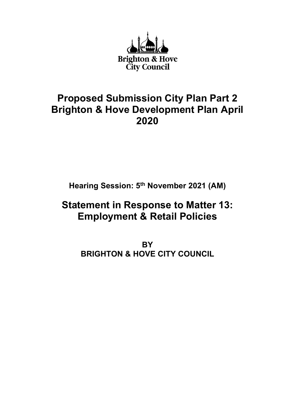

# **Proposed Submission City Plan Part 2 Brighton & Hove Development Plan April 2020**

**Hearing Session: 5th November 2021 (AM)**

# **Statement in Response to Matter 13: Employment & Retail Policies**

**BY BRIGHTON & HOVE CITY COUNCIL**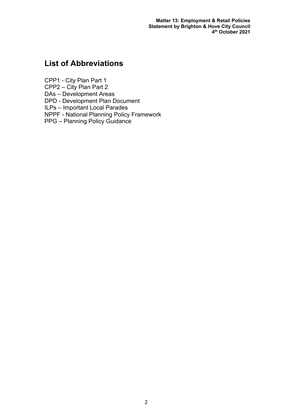**Matter 13: Employment & Retail Policies Statement by Brighton & Hove City Council 4th October 2021**

# **List of Abbreviations**

CPP1 - City Plan Part 1

CPP2 – City Plan Part 2

DAs – Development Areas

DPD - Development Plan Document

ILPs – Important Local Parades

NPPF - National Planning Policy Framework

PPG – Planning Policy Guidance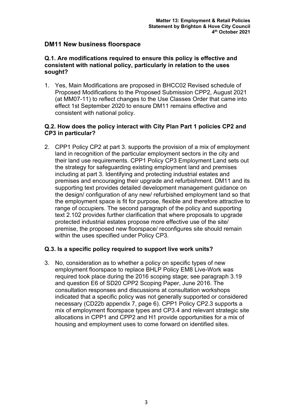# **DM11 New business floorspace**

### **Q.1. Are modifications required to ensure this policy is effective and consistent with national policy, particularly in relation to the uses sought?**

1. Yes, Main Modifications are proposed in BHCC02 Revised schedule of Proposed Modifications to the Proposed Submission CPP2, August 2021 (at MM07-11) to reflect changes to the Use Classes Order that came into effect 1st September 2020 to ensure DM11 remains effective and consistent with national policy.

## **Q.2. How does the policy interact with City Plan Part 1 policies CP2 and CP3 in particular?**

2. CPP1 Policy CP2 at part 3. supports the provision of a mix of employment land in recognition of the particular employment sectors in the city and their land use requirements. CPP1 Policy CP3 Employment Land sets out the strategy for safeguarding existing employment land and premises including at part 3. Identifying and protecting industrial estates and premises and encouraging their upgrade and refurbishment. DM11 and its supporting text provides detailed development management guidance on the design/ configuration of any new/ refurbished employment land so that the employment space is fit for purpose, flexible and therefore attractive to range of occupiers. The second paragraph of the policy and supporting text 2.102 provides further clarification that where proposals to upgrade protected industrial estates propose more effective use of the site/ premise, the proposed new floorspace/ reconfigures site should remain within the uses specified under Policy CP3.

# **Q.3. Is a specific policy required to support live work units?**

3. No, consideration as to whether a policy on specific types of new employment floorspace to replace BHLP Policy EM8 Live-Work was required took place during the 2016 scoping stage; see paragraph 3.19 and question E6 of SD20 CPP2 Scoping Paper, June 2016. The consultation responses and discussions at consultation workshops indicated that a specific policy was not generally supported or considered necessary (CD22b appendix 7, page 6). CPP1 Policy CP2.3 supports a mix of employment floorspace types and CP3.4 and relevant strategic site allocations in CPP1 and CPP2 and H1 provide opportunities for a mix of housing and employment uses to come forward on identified sites.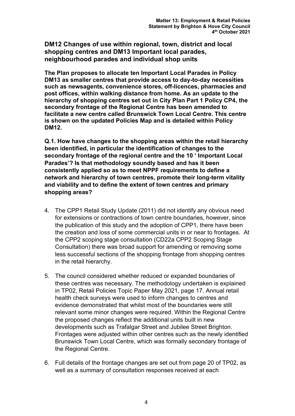**DM12 Changes of use within regional, town, district and local shopping centres and DM13 Important local parades, neighbourhood parades and individual shop units**

**The Plan proposes to allocate ten Important Local Parades in Policy DM13 as smaller centres that provide access to day-to-day necessities such as newsagents, convenience stores, off-licences, pharmacies and post offices, within walking distance from home. As an update to the hierarchy of shopping centres set out in City Plan Part 1 Policy CP4, the secondary frontage of the Regional Centre has been amended to facilitate a new centre called Brunswick Town Local Centre. This centre is shown on the updated Policies Map and is detailed within Policy DM12.**

**Q.1. How have changes to the shopping areas within the retail hierarchy been identified, in particular the identification of changes to the secondary frontage of the regional centre and the 10 ' Important Local Parades'? Is that methodology soundly based and has it been consistently applied so as to meet NPPF requirements to define a network and hierarchy of town centres, promote their long-term vitality and viability and to define the extent of town centres and primary shopping areas?** 

- 4. The CPP1 Retail Study Update (2011) did not identify any obvious need for extensions or contractions of town centre boundaries, however, since the publication of this study and the adoption of CPP1, there have been the creation and loss of some commercial units in or near to frontages. At the CPP2 scoping stage consultation (CD22a CPP2 Scoping Stage Consultation) there was broad support for amending or removing some less successful sections of the shopping frontage from shopping centres in the retail hierarchy.
- 5. The council considered whether reduced or expanded boundaries of these centres was necessary. The methodology undertaken is explained in TP02, Retail Policies Topic Paper May 2021, page 17. Annual retail health check surveys were used to inform changes to centres and evidence demonstrated that whilst most of the boundaries were still relevant some minor changes were required. Within the Regional Centre the proposed changes reflect the additional units built in new developments such as Trafalgar Street and Jubilee Street Brighton. Frontages were adjusted within other centres such as the newly identified Brunswick Town Local Centre, which was formally secondary frontage of the Regional Centre.
- 6. Full details of the frontage changes are set out from page 20 of TP02, as well as a summary of consultation responses received at each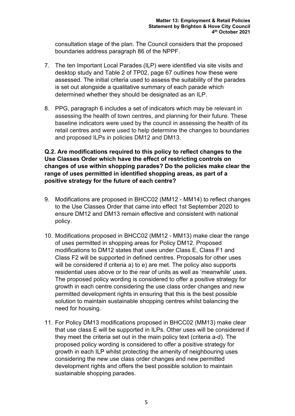consultation stage of the plan. The Council considers that the proposed boundaries address paragraph 86 of the NPPF.

- 7. The ten Important Local Parades (ILP) were identified via site visits and desktop study and Table 2 of TP02, page 67 outlines how these were assessed. The initial criteria used to assess the suitability of the parades is set out alongside a qualitative summary of each parade which determined whether they should be designated as an ILP.
- 8. PPG, paragraph 6 includes a set of indicators which may be relevant in assessing the health of town centres, and planning for their future. These baseline indicators were used by the council in assessing the health of its retail centres and were used to help determine the changes to boundaries and proposed ILPs in policies DM12 and DM13.

# **Q.2. Are modifications required to this policy to reflect changes to the Use Classes Order which have the effect of restricting controls on changes of use within shopping parades? Do the policies make clear the range of uses permitted in identified shopping areas, as part of a positive strategy for the future of each centre?**

- 9. Modifications are proposed in BHCC02 (MM12 MM14) to reflect changes to the Use Classes Order that came into effect 1st September 2020 to ensure DM12 and DM13 remain effective and consistent with national policy.
- 10. Modifications proposed in BHCC02 (MM12 MM13) make clear the range of uses permitted in shopping areas for Policy DM12. Proposed modifications to DM12 states that uses under Class E, Class F1 and Class F2 will be supported in defined centres. Proposals for other uses will be considered if criteria a) to e) are met. The policy also supports residential uses above or to the rear of units as well as 'meanwhile' uses. The proposed policy wording is considered to offer a positive strategy for growth in each centre considering the use class order changes and new permitted development rights in ensuring that this is the best possible solution to maintain sustainable shopping centres whilst balancing the need for housing.
- 11. For Policy DM13 modifications proposed in BHCC02 (MM13) make clear that use class E will be supported in ILPs. Other uses will be considered if they meet the criteria set out in the main policy text (criteria a-d). The proposed policy wording is considered to offer a positive strategy for growth in each ILP whilst protecting the amenity of neighbouring uses considering the new use class order changes and new permitted development rights and offers the best possible solution to maintain sustainable shopping parades.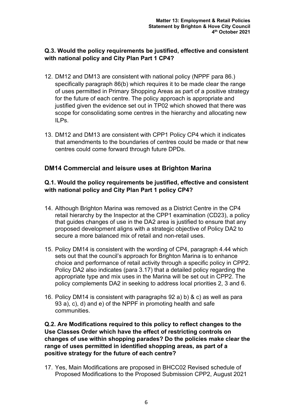# **Q.3. Would the policy requirements be justified, effective and consistent with national policy and City Plan Part 1 CP4?**

- 12. DM12 and DM13 are consistent with national policy (NPPF para 86.) specifically paragraph 86(b) which requires it to be made clear the range of uses permitted in Primary Shopping Areas as part of a positive strategy for the future of each centre. The policy approach is appropriate and justified given the evidence set out in TP02 which showed that there was scope for consolidating some centres in the hierarchy and allocating new ILPs.
- 13. DM12 and DM13 are consistent with CPP1 Policy CP4 which it indicates that amendments to the boundaries of centres could be made or that new centres could come forward through future DPDs.

# **DM14 Commercial and leisure uses at Brighton Marina**

### **Q.1. Would the policy requirements be justified, effective and consistent with national policy and City Plan Part 1 policy CP4?**

- 14. Although Brighton Marina was removed as a District Centre in the CP4 retail hierarchy by the Inspector at the CPP1 examination (CD23), a policy that guides changes of use in the DA2 area is justified to ensure that any proposed development aligns with a strategic objective of Policy DA2 to secure a more balanced mix of retail and non-retail uses.
- 15. Policy DM14 is consistent with the wording of CP4, paragraph 4.44 which sets out that the council's approach for Brighton Marina is to enhance choice and performance of retail activity through a specific policy in CPP2. Policy DA2 also indicates (para 3.17) that a detailed policy regarding the appropriate type and mix uses in the Marina will be set out in CPP2. The policy complements DA2 in seeking to address local priorities 2, 3 and 6.
- 16. Policy DM14 is consistent with paragraphs 92 a) b) & c) as well as para 93 a), c), d) and e) of the NPPF in promoting health and safe communities.

### **Q.2. Are Modifications required to this policy to reflect changes to the Use Classes Order which have the effect of restricting controls on changes of use within shopping parades? Do the policies make clear the range of uses permitted in identified shopping areas, as part of a positive strategy for the future of each centre?**

17. Yes, Main Modifications are proposed in BHCC02 Revised schedule of Proposed Modifications to the Proposed Submission CPP2, August 2021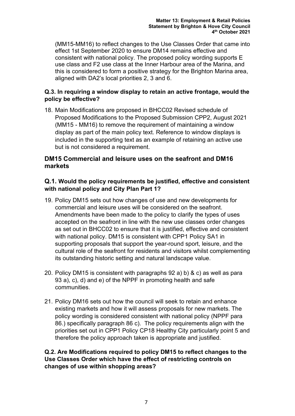(MM15-MM16) to reflect changes to the Use Classes Order that came into effect 1st September 2020 to ensure DM14 remains effective and consistent with national policy. The proposed policy wording supports E use class and F2 use class at the Inner Harbour area of the Marina, and this is considered to form a positive strategy for the Brighton Marina area, aligned with DA2's local priorities 2, 3 and 6.

# **Q.3. In requiring a window display to retain an active frontage, would the policy be effective?**

18. Main Modifications are proposed in BHCC02 Revised schedule of Proposed Modifications to the Proposed Submission CPP2, August 2021 (MM15 - MM16) to remove the requirement of maintaining a window display as part of the main policy text. Reference to window displays is included in the supporting text as an example of retaining an active use but is not considered a requirement.

# **DM15 Commercial and leisure uses on the seafront and DM16 markets**

# **Q.1. Would the policy requirements be justified, effective and consistent with national policy and City Plan Part 1?**

- 19. Policy DM15 sets out how changes of use and new developments for commercial and leisure uses will be considered on the seafront. Amendments have been made to the policy to clarify the types of uses accepted on the seafront in line with the new use classes order changes as set out in BHCC02 to ensure that it is justified, effective and consistent with national policy. DM15 is consistent with CPP1 Policy SA1 in supporting proposals that support the year-round sport, leisure, and the cultural role of the seafront for residents and visitors whilst complementing its outstanding historic setting and natural landscape value.
- 20. Policy DM15 is consistent with paragraphs 92 a) b) & c) as well as para 93 a), c), d) and e) of the NPPF in promoting health and safe communities.
- 21. Policy DM16 sets out how the council will seek to retain and enhance existing markets and how it will assess proposals for new markets. The policy wording is considered consistent with national policy (NPPF para 86.) specifically paragraph 86 c). The policy requirements align with the priorities set out in CPP1 Policy CP18 Healthy City particularly point 5 and therefore the policy approach taken is appropriate and justified.

**Q.2. Are Modifications required to policy DM15 to reflect changes to the Use Classes Order which have the effect of restricting controls on changes of use within shopping areas?**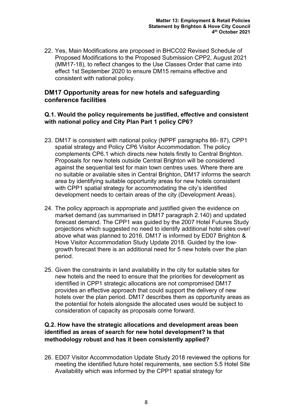22. Yes, Main Modifications are proposed in BHCC02 Revised Schedule of Proposed Modifications to the Proposed Submission CPP2, August 2021 (MM17-18), to reflect changes to the Use Classes Order that came into effect 1st September 2020 to ensure DM15 remains effective and consistent with national policy.

# **DM17 Opportunity areas for new hotels and safeguarding conference facilities**

### **Q.1. Would the policy requirements be justified, effective and consistent with national policy and City Plan Part 1 policy CP6?**

- 23. DM17 is consistent with national policy (NPPF paragraphs 86- 87), CPP1 spatial strategy and Policy CP6 Visitor Accommodation. The policy complements CP6.1 which directs new hotels firstly to Central Brighton. Proposals for new hotels outside Central Brighton will be considered against the sequential test for main town centres uses. Where there are no suitable or available sites in Central Brighton, DM17 informs the search area by identifying suitable opportunity areas for new hotels consistent with CPP1 spatial strategy for accommodating the city's identified development needs to certain areas of the city (Development Areas).
- 24. The policy approach is appropriate and justified given the evidence on market demand (as summarised in DM17 paragraph 2.140) and updated forecast demand. The CPP1 was guided by the 2007 Hotel Futures Study projections which suggested no need to identify additional hotel sites over/ above what was planned to 2016. DM17 is informed by ED07 Brighton & Hove Visitor Accommodation Study Update 2018. Guided by the lowgrowth forecast there is an additional need for 5 new hotels over the plan period.
- 25. Given the constraints in land availability in the city for suitable sites for new hotels and the need to ensure that the priorities for development as identified in CPP1 strategic allocations are not compromised DM17 provides an effective approach that could support the delivery of new hotels over the plan period. DM17 describes them as opportunity areas as the potential for hotels alongside the allocated uses would be subject to consideration of capacity as proposals come forward.

# **Q.2. How have the strategic allocations and development areas been identified as areas of search for new hotel development? Is that methodology robust and has it been consistently applied?**

26. ED07 Visitor Accommodation Update Study 2018 reviewed the options for meeting the identified future hotel requirements, see section 5.5 Hotel Site Availability which was informed by the CPP1 spatial strategy for